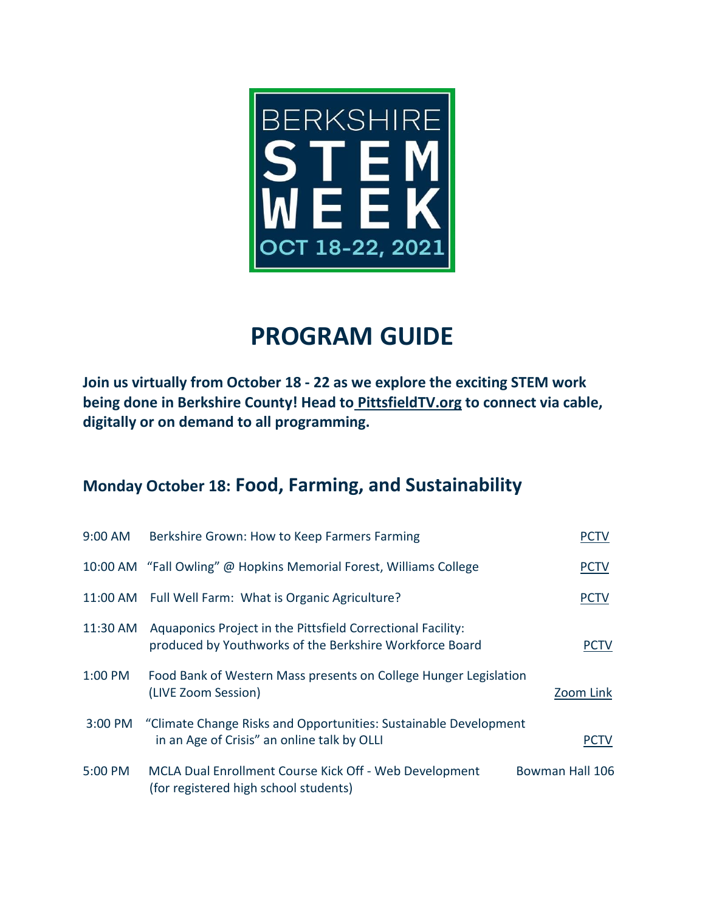

## **PROGRAM GUIDE**

**Join us virtually from October 18 - 22 as we explore the exciting STEM work being done in Berkshire County! Head to [PittsfieldTV.org](http://www.pittsfieldtv.org/) to connect via cable, digitally or on demand to all programming.**

#### **Monday October 18: Food, Farming, and Sustainability**

| 9:00 AM  | Berkshire Grown: How to Keep Farmers Farming                                                                           | PCTV            |
|----------|------------------------------------------------------------------------------------------------------------------------|-----------------|
|          | 10:00 AM "Fall Owling" @ Hopkins Memorial Forest, Williams College                                                     | <b>PCTV</b>     |
|          | 11:00 AM Full Well Farm: What is Organic Agriculture?                                                                  | <b>PCTV</b>     |
| 11:30 AM | Aquaponics Project in the Pittsfield Correctional Facility:<br>produced by Youthworks of the Berkshire Workforce Board | PCTV            |
| 1:00 PM  | Food Bank of Western Mass presents on College Hunger Legislation<br>(LIVE Zoom Session)                                | Zoom Link       |
| 3:00 PM  | "Climate Change Risks and Opportunities: Sustainable Development<br>in an Age of Crisis" an online talk by OLLI        | <b>PCTV</b>     |
| 5:00 PM  | MCLA Dual Enrollment Course Kick Off - Web Development<br>(for registered high school students)                        | Bowman Hall 106 |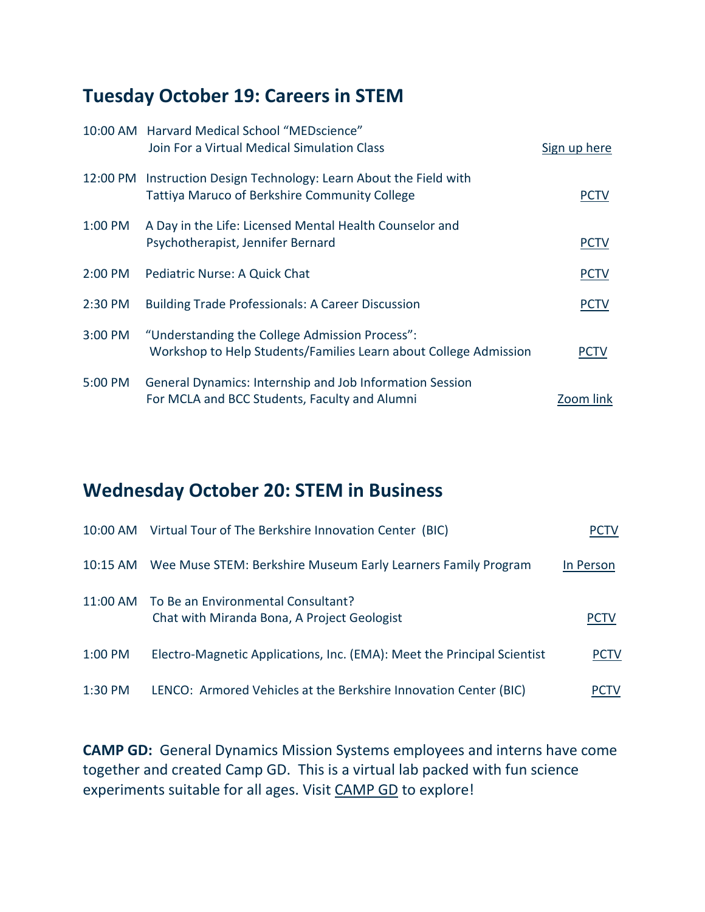### **Tuesday October 19: Careers in STEM**

|          | 10:00 AM Harvard Medical School "MEDscience"                                                                       |              |
|----------|--------------------------------------------------------------------------------------------------------------------|--------------|
|          | Join For a Virtual Medical Simulation Class                                                                        | Sign up here |
| 12:00 PM | Instruction Design Technology: Learn About the Field with<br><b>Tattiya Maruco of Berkshire Community College</b>  | <b>PCTV</b>  |
| 1:00 PM  | A Day in the Life: Licensed Mental Health Counselor and<br>Psychotherapist, Jennifer Bernard                       | <u>PCTV</u>  |
| 2:00 PM  | Pediatric Nurse: A Quick Chat                                                                                      | <b>PCTV</b>  |
| 2:30 PM  | <b>Building Trade Professionals: A Career Discussion</b>                                                           | <b>PCTV</b>  |
| 3:00 PM  | "Understanding the College Admission Process":<br>Workshop to Help Students/Families Learn about College Admission | <b>PCTV</b>  |
| 5:00 PM  | General Dynamics: Internship and Job Information Session<br>For MCLA and BCC Students, Faculty and Alumni          | Zoom link    |

#### **Wednesday October 20: STEM in Business**

|            | 10:00 AM Virtual Tour of The Berkshire Innovation Center (BIC)                             | PCIV        |
|------------|--------------------------------------------------------------------------------------------|-------------|
| $10:15$ AM | Wee Muse STEM: Berkshire Museum Early Learners Family Program                              | In Person   |
|            | 11:00 AM To Be an Environmental Consultant?<br>Chat with Miranda Bona, A Project Geologist | <b>PCTV</b> |
| 1:00 PM    | Electro-Magnetic Applications, Inc. (EMA): Meet the Principal Scientist                    | <b>PCTV</b> |
| 1:30 PM    | LENCO: Armored Vehicles at the Berkshire Innovation Center (BIC)                           | PCTV        |

**CAMP GD:** General Dynamics Mission Systems employees and interns have come together and created Camp GD. This is a virtual lab packed with fun science experiments suitable for all ages. Visit [CAMP GD](https://vimeo.com/showcase/campgd) to explore!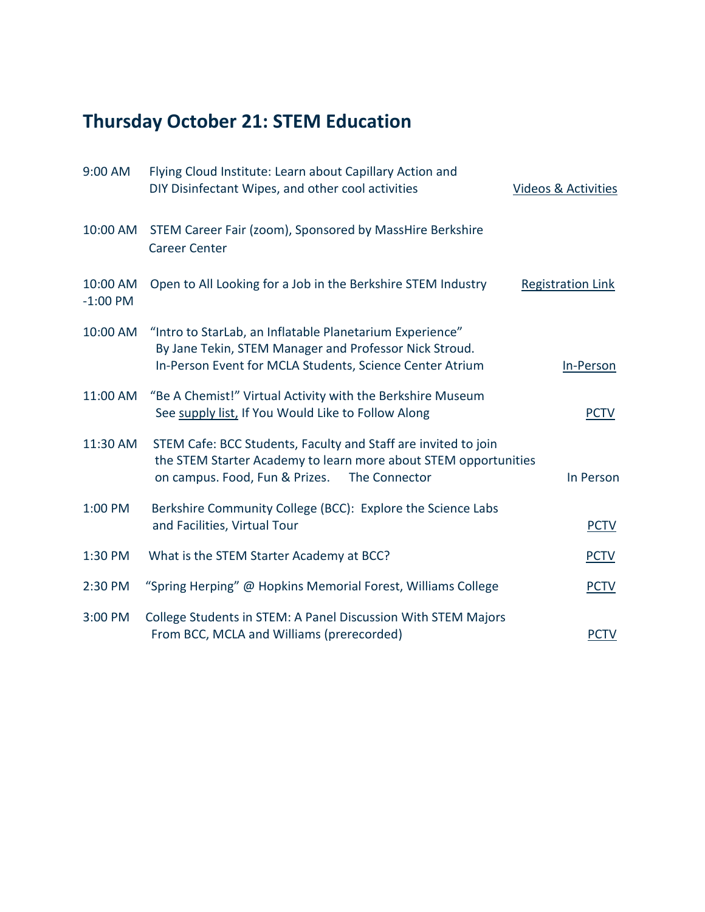# **Thursday October 21: STEM Education**

| 9:00 AM                | Flying Cloud Institute: Learn about Capillary Action and<br>DIY Disinfectant Wipes, and other cool activities                                                                        | Videos & Activities      |
|------------------------|--------------------------------------------------------------------------------------------------------------------------------------------------------------------------------------|--------------------------|
| 10:00 AM               | STEM Career Fair (zoom), Sponsored by MassHire Berkshire<br><b>Career Center</b>                                                                                                     |                          |
| 10:00 AM<br>$-1:00$ PM | Open to All Looking for a Job in the Berkshire STEM Industry                                                                                                                         | <b>Registration Link</b> |
| 10:00 AM               | "Intro to StarLab, an Inflatable Planetarium Experience"<br>By Jane Tekin, STEM Manager and Professor Nick Stroud.<br>In-Person Event for MCLA Students, Science Center Atrium       | In-Person                |
| 11:00 AM               | "Be A Chemist!" Virtual Activity with the Berkshire Museum<br>See supply list, If You Would Like to Follow Along                                                                     | <b>PCTV</b>              |
| 11:30 AM               | STEM Cafe: BCC Students, Faculty and Staff are invited to join<br>the STEM Starter Academy to learn more about STEM opportunities<br>on campus. Food, Fun & Prizes.<br>The Connector | In Person                |
| 1:00 PM                | Berkshire Community College (BCC): Explore the Science Labs<br>and Facilities, Virtual Tour                                                                                          | <b>PCTV</b>              |
| 1:30 PM                | What is the STEM Starter Academy at BCC?                                                                                                                                             | <b>PCTV</b>              |
| 2:30 PM                | "Spring Herping" @ Hopkins Memorial Forest, Williams College                                                                                                                         | <b>PCTV</b>              |
| 3:00 PM                | College Students in STEM: A Panel Discussion With STEM Majors<br>From BCC, MCLA and Williams (prerecorded)                                                                           | <b>PCTV</b>              |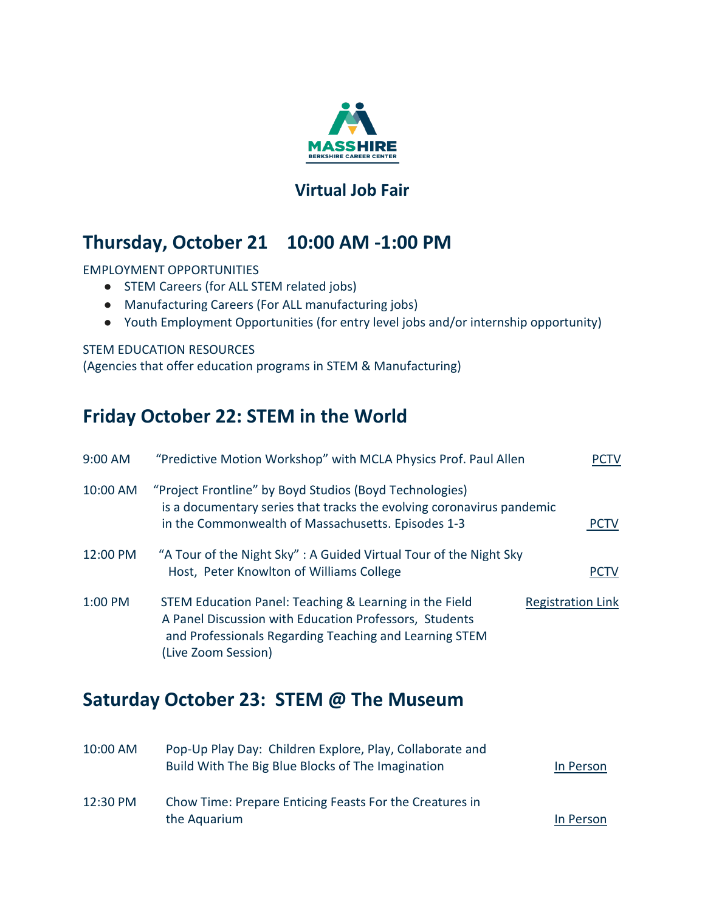

#### **[Virtual Job Fair](https://www.masshireberkshirecc.com/virtual-fairs-recruitments/)**

#### **Thursday, October 21 10:00 AM -1:00 PM**

EMPLOYMENT OPPORTUNITIES

- STEM Careers (for ALL STEM related jobs)
- Manufacturing Careers (For ALL manufacturing jobs)
- Youth Employment Opportunities (for entry level jobs and/or internship opportunity)

#### STEM EDUCATION RESOURCES

(Agencies that offer education programs in STEM & Manufacturing)

#### **Friday October 22: STEM in the World**

| 9:00 AM  | "Predictive Motion Workshop" with MCLA Physics Prof. Paul Allen                                                                                                                                   | PCIV                     |
|----------|---------------------------------------------------------------------------------------------------------------------------------------------------------------------------------------------------|--------------------------|
| 10:00 AM | "Project Frontline" by Boyd Studios (Boyd Technologies)<br>is a documentary series that tracks the evolving coronavirus pandemic<br>in the Commonwealth of Massachusetts. Episodes 1-3            | <b>PCTV</b>              |
| 12:00 PM | "A Tour of the Night Sky": A Guided Virtual Tour of the Night Sky<br>Host, Peter Knowlton of Williams College                                                                                     | <b>PCTV</b>              |
| 1:00 PM  | STEM Education Panel: Teaching & Learning in the Field<br>A Panel Discussion with Education Professors, Students<br>and Professionals Regarding Teaching and Learning STEM<br>(Live Zoom Session) | <b>Registration Link</b> |

#### **Saturday October 23: STEM @ The Museum**

| $10:00$ AM | Pop-Up Play Day: Children Explore, Play, Collaborate and<br>Build With The Big Blue Blocks of The Imagination | In Person |
|------------|---------------------------------------------------------------------------------------------------------------|-----------|
| 12:30 PM   | Chow Time: Prepare Enticing Feasts For the Creatures in<br>the Aquarium                                       | In Person |